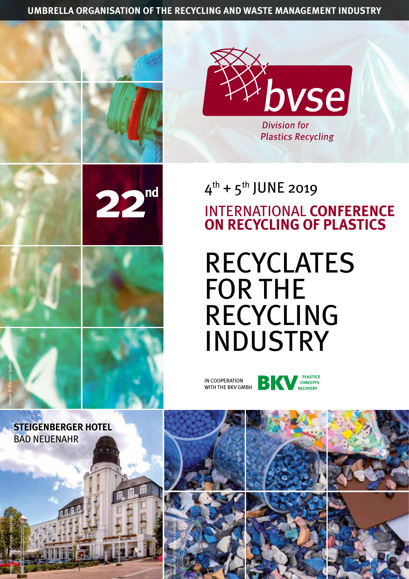**UMBRELLA ORGANISATION OF THE RECYCLING AND WASTE MANAGEMENT INDUSTRY**





## $4^{th}$  +  $5^{th}$  JUNE 2019 INTERNATIONAL **CONFERENCE ON RECYCLING OF PLASTICS**

# RECYCLATES FOR THE RECYCLING INDUSTRY







*Image: © AKH-Pictures / fotolia.de*

**STEIGENBERGER HOTEL**  BAD NEUENAHR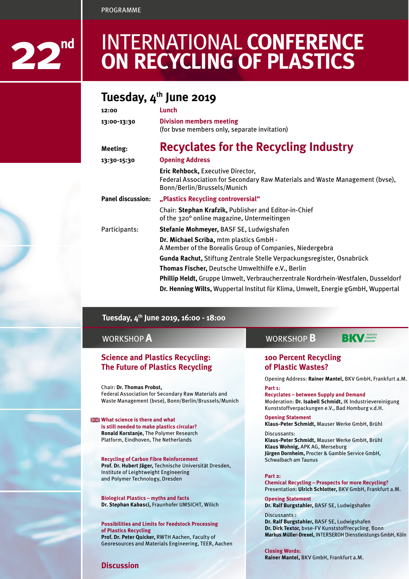PROGRAMME



## INTERNATIONAL **CONFERENCE ON RECYCLING OF PLASTICS**

### Tuesday, 4<sup>th</sup> June 2019

| Lunch                                                                                                                                            |  |  |
|--------------------------------------------------------------------------------------------------------------------------------------------------|--|--|
| <b>Division members meeting</b><br>(for byse members only, separate invitation)                                                                  |  |  |
| Recyclates for the Recycling Industry                                                                                                            |  |  |
| <b>Opening Address</b>                                                                                                                           |  |  |
| Eric Rehbock, Executive Director,<br>Federal Association for Secondary Raw Materials and Waste Management (byse),<br>Bonn/Berlin/Brussels/Munich |  |  |
| "Plastics Recycling controversial"                                                                                                               |  |  |
| Chair: Stephan Krafzik, Publisher and Editor-in-Chief<br>of the 320° online magazine, Untermeitingen                                             |  |  |
| Stefanie Mohmeyer, BASF SE, Ludwigshafen                                                                                                         |  |  |
| Dr. Michael Scriba, mtm plastics GmbH -<br>A Member of the Borealis Group of Companies, Niedergebra                                              |  |  |
| Gunda Rachut, Stiftung Zentrale Stelle Verpackungsregister, Osnabrück                                                                            |  |  |
| Thomas Fischer, Deutsche Umwelthilfe e.V., Berlin                                                                                                |  |  |
| Phillip Heldt, Gruppe Umwelt, Verbraucherzentrale Nordrhein-Westfalen, Dusseldorf                                                                |  |  |
| Dr. Henning Wilts, Wuppertal Institut für Klima, Umwelt, Energie gGmbH, Wuppertal                                                                |  |  |
|                                                                                                                                                  |  |  |

### **Tuesday, 4th June 2019, 16:00 - 18:00**

### WORKSHOP **A**

### **Science and Plastics Recycling: The Future of Plastics Recycling**

Chair: **Dr. Thomas Probst,**  Federal Association for Secondary Raw Materials and Waste Management (bvse), Bonn/Berlin/Brussels/Munich

**What science is there and what is still needed to make plastics circular? Ronald Korstanje,** The Polymer Research Platform, Eindhoven, The Netherlands

**Recycling of Carbon Fibre Reinforcement Prof. Dr. Hubert Jäger,** Technische Universität Dresden, Institute of Leightweight Engineering and Polymer Technology, Dresden

**Biological Plastics – myths and facts Dr. Stephan Kabasci,** Fraunhofer UMSICHT, Wilich

**Possibilities and Limits for Feedstock Processing of Plastics Recycling Prof. Dr. Peter Quicker,** RWTH Aachen, Faculty of Georesources and Materials Engineering, TEER, Aachen

#### **Discussion**

#### WORKSHOP **B PLASTICS CONCEPTS RECOVERY**

In cooperation with

### **100 Percent Recycling of Plastic Wastes?**

Opening Address: **Rainer Mantel,** BKV GmbH, Frankfurt a.M.

**Part 1:** 

**Recyclates – between Supply and Demand** Moderation: **Dr. Isabell Schmidt,** IK Industrievereinigung Kunststoffverpackungen e.V., Bad Homburg v.d.H.

**Opening Statement Klaus-Peter Schmidt,** Mauser Werke GmbH, Brühl

Discussants: **Klaus-Peter Schmidt,** Mauser Werke GmbH, Brühl **Klaus Wohnig,** APK AG, Merseburg **Jürgen Dornheim,** Procter & Gamble Service GmbH, Schwalbach am Taunus

**Part 2:** 

**Chemical Recycling – Prospects for more Recycling?** Presentation: **Ulrich Schlotter,** BKV GmbH, Frankfurt a.M.

**Opening Statement Dr. Ralf Burgstahler,** BASF SE, Ludwigshafen

Discussants : **Dr. Ralf Burgstahler,** BASF SE, Ludwigshafen **Dr. Dirk Textor,** bvse-FV Kunststoffrecycling, Bonn **Markus Müller-Drexel,** INTERSEROH Dienstleistungs GmbH, Köln

**Closing Words: Rainer Mantel,** BKV GmbH, Frankfurt a.M.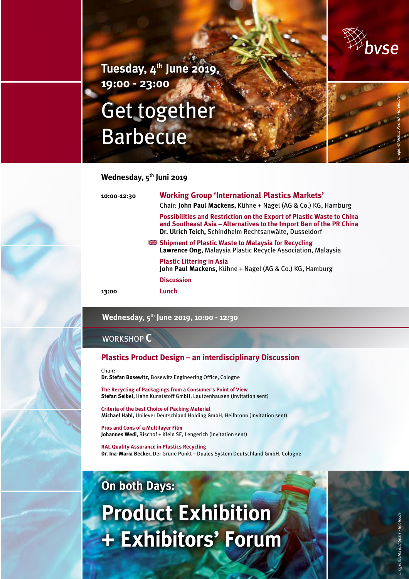

**Tuesday, 4th June 2019, 19:00 - 23:00**

# Get together Barbecue



### **Wednesday, 5th Juni 2019**

| 10:00-12:30 | <b>Working Group 'International Plastics Markets'</b><br>Chair: John Paul Mackens, Kühne + Nagel (AG & Co.) KG, Hamburg                                                                                       |  |  |  |
|-------------|---------------------------------------------------------------------------------------------------------------------------------------------------------------------------------------------------------------|--|--|--|
|             | <b>Possibilities and Restriction on the Export of Plastic Waste to China</b><br>and Southeast Asia - Alternatives to the Import Ban of the PR China<br>Dr. Ulrich Teich, Schindhelm Rechtsanwälte, Dusseldorf |  |  |  |
|             | <b>EXECUTE:</b> Shipment of Plastic Waste to Malaysia for Recycling<br>Lawrence Ong, Malaysia Plastic Recycle Association, Malaysia                                                                           |  |  |  |
|             | <b>Plastic Littering in Asia</b><br>John Paul Mackens, Kühne + Nagel (AG & Co.) KG, Hamburg                                                                                                                   |  |  |  |
|             | <b>Discussion</b>                                                                                                                                                                                             |  |  |  |
| 13:00       | Lunch                                                                                                                                                                                                         |  |  |  |

### **Wednesday, 5th June 2019, 10:00 - 12:30**

### WORKSHOP **C**

### **Plastics Product Design – an interdisciplinary Discussion**

Chair:

**Dr. Stefan Bosewitz,** Bosewitz Engineering Office, Cologne

**The Recycling of Packagings from a Consumer's Point of View Stefan Seibel,** Hahn Kunststoff GmbH, Lautzenhausen (Invitation sent)

**Criteria of the best Choice of Packing Material Michael Hahl,** Unilever Deutschland Holding GmbH, Heilbronn (Invitation sent)

**Pros and Cons of a Multilayer Film Johannes Wedi,** Bischof + Klein SE, Lengerich (Invitation sent)

**RAL Quality Assurance in Plastics Recycling Dr. Ina-Maria Becker,** Der Grüne Punkt – Duales System Deutschland GmbH, Cologne

# **On both Days: Product Exhibition + Exhibitors' Forum**